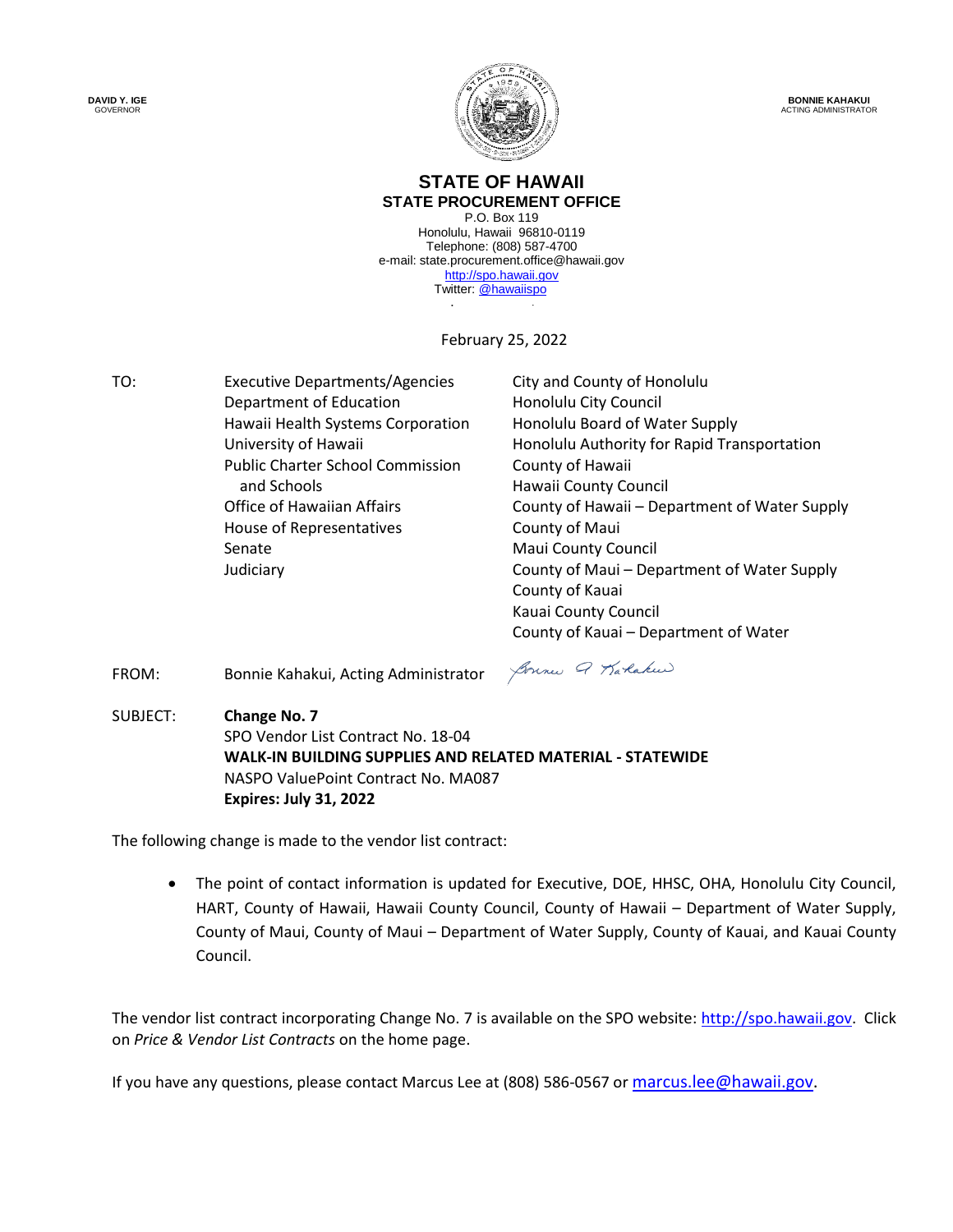**DAVID Y. IGE GOVERNOR** 



**BONNIE KAHAKUI** ACTING ADMINISTRATOR

#### **STATE OF HAWAII STATE PROCUREMENT OFFICE**

Twitter: **@hawaiispo** P.O. Box 119 Honolulu, Hawaii 96810-0119 Telephone: (808) 587-4700 e-mail: state.procurement.office@hawaii.gov [http://spo.hawaii.gov](http://spo.hawaii.gov/)

February 25, 2022

TO: Executive Departments/Agencies City and County of Honolulu Department of Education **Honolulu City Council** Hawaii Health Systems Corporation University of Hawaii Public Charter School Commission and Schools **Hawaii County Council** Office of Hawaiian Affairs House of Representatives Senate

Honolulu Board of Water Supply Honolulu Authority for Rapid Transportation County of Hawaii County of Hawaii – Department of Water Supply County of Maui Maui County Council Judiciary County of Maui – Department of Water Supply County of Kauai Kauai County Council County of Kauai – Department of Water

FROM: Bonnie Kahakui, Acting Administrator

Bonne Q Karlakeer

SUBJECT: **Change No. 7** SPO Vendor List Contract No. 18-04 **WALK-IN BUILDING SUPPLIES AND RELATED MATERIAL - STATEWIDE** NASPO ValuePoint Contract No. MA087 **Expires: July 31, 2022**

The following change is made to the vendor list contract:

 The point of contact information is updated for Executive, DOE, HHSC, OHA, Honolulu City Council, HART, County of Hawaii, Hawaii County Council, County of Hawaii – Department of Water Supply, County of Maui, County of Maui – Department of Water Supply, County of Kauai, and Kauai County Council.

The vendor list contract incorporating Change No. 7 is available on the SPO website: [http://spo.hawaii.gov.](http://spo.hawaii.gov/) Click on *Price & Vendor List Contracts* on the home page.

If you have any questions, please contact Marcus Lee at (808) 586-0567 or [marcus.lee@hawaii.gov.](mailto:marcus.lee@hawaii.gov)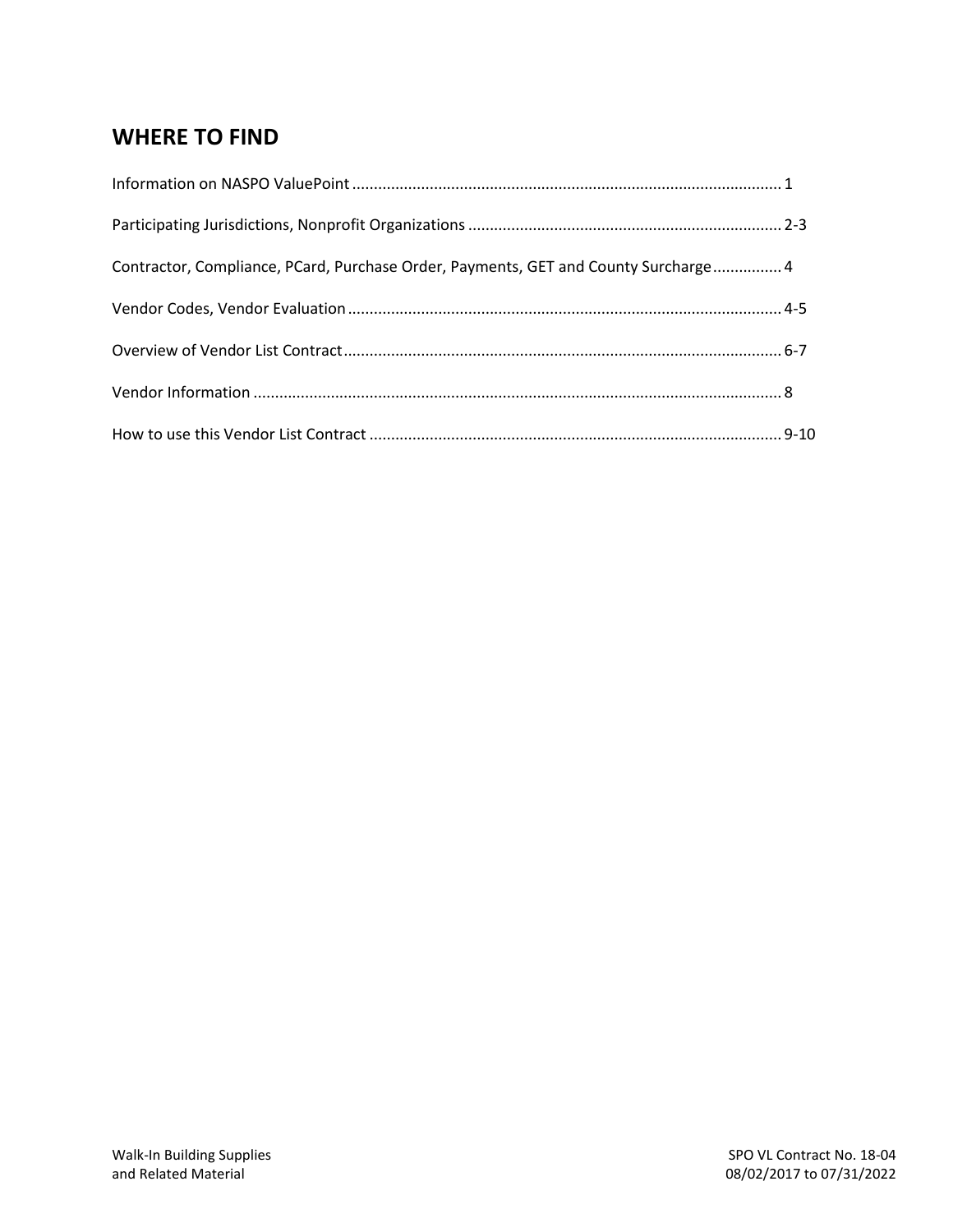# **WHERE TO FIND**

| Contractor, Compliance, PCard, Purchase Order, Payments, GET and County Surcharge 4 |  |
|-------------------------------------------------------------------------------------|--|
|                                                                                     |  |
|                                                                                     |  |
|                                                                                     |  |
|                                                                                     |  |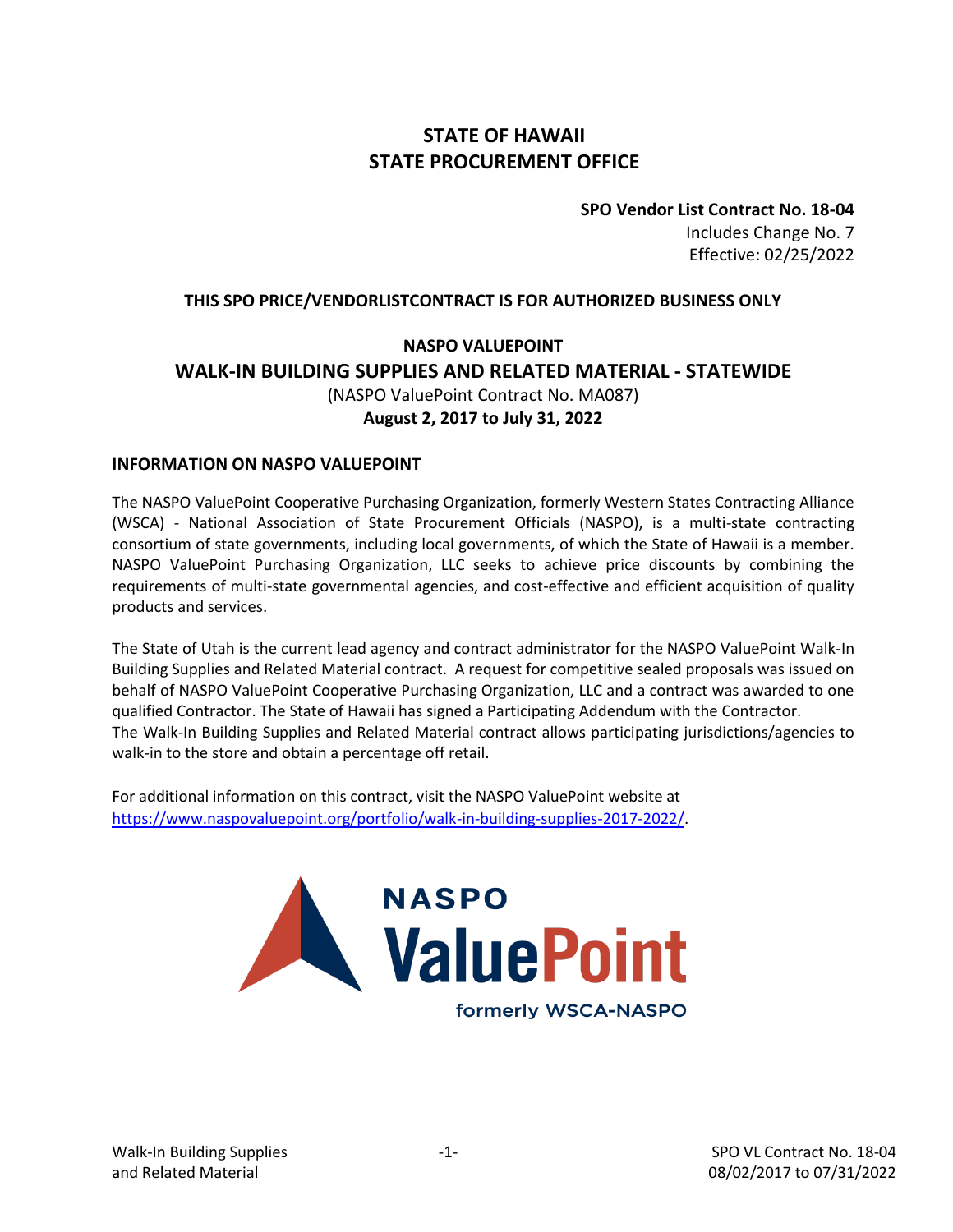## **STATE OF HAWAII STATE PROCUREMENT OFFICE**

**SPO Vendor List Contract No. 18-04** Includes Change No. 7 Effective: 02/25/2022

#### **THIS SPO PRICE/VENDORLISTCONTRACT IS FOR AUTHORIZED BUSINESS ONLY**

### **NASPO VALUEPOINT WALK-IN BUILDING SUPPLIES AND RELATED MATERIAL - STATEWIDE** (NASPO ValuePoint Contract No. MA087) **August 2, 2017 to July 31, 2022**

#### **INFORMATION ON NASPO VALUEPOINT**

The NASPO ValuePoint Cooperative Purchasing Organization, formerly Western States Contracting Alliance (WSCA) - National Association of State Procurement Officials (NASPO), is a multi-state contracting consortium of state governments, including local governments, of which the State of Hawaii is a member. NASPO ValuePoint Purchasing Organization, LLC seeks to achieve price discounts by combining the requirements of multi-state governmental agencies, and cost-effective and efficient acquisition of quality products and services.

The State of Utah is the current lead agency and contract administrator for the NASPO ValuePoint Walk-In Building Supplies and Related Material contract. A request for competitive sealed proposals was issued on behalf of NASPO ValuePoint Cooperative Purchasing Organization, LLC and a contract was awarded to one qualified Contractor. The State of Hawaii has signed a Participating Addendum with the Contractor. The Walk-In Building Supplies and Related Material contract allows participating jurisdictions/agencies to walk-in to the store and obtain a percentage off retail.

For additional information on this contract, visit the NASPO ValuePoint website at [https://www.naspovaluepoint.org/portfolio/walk-in-building-supplies-2017-2022/.](https://www.naspovaluepoint.org/portfolio/walk-in-building-supplies-2017-2022/)

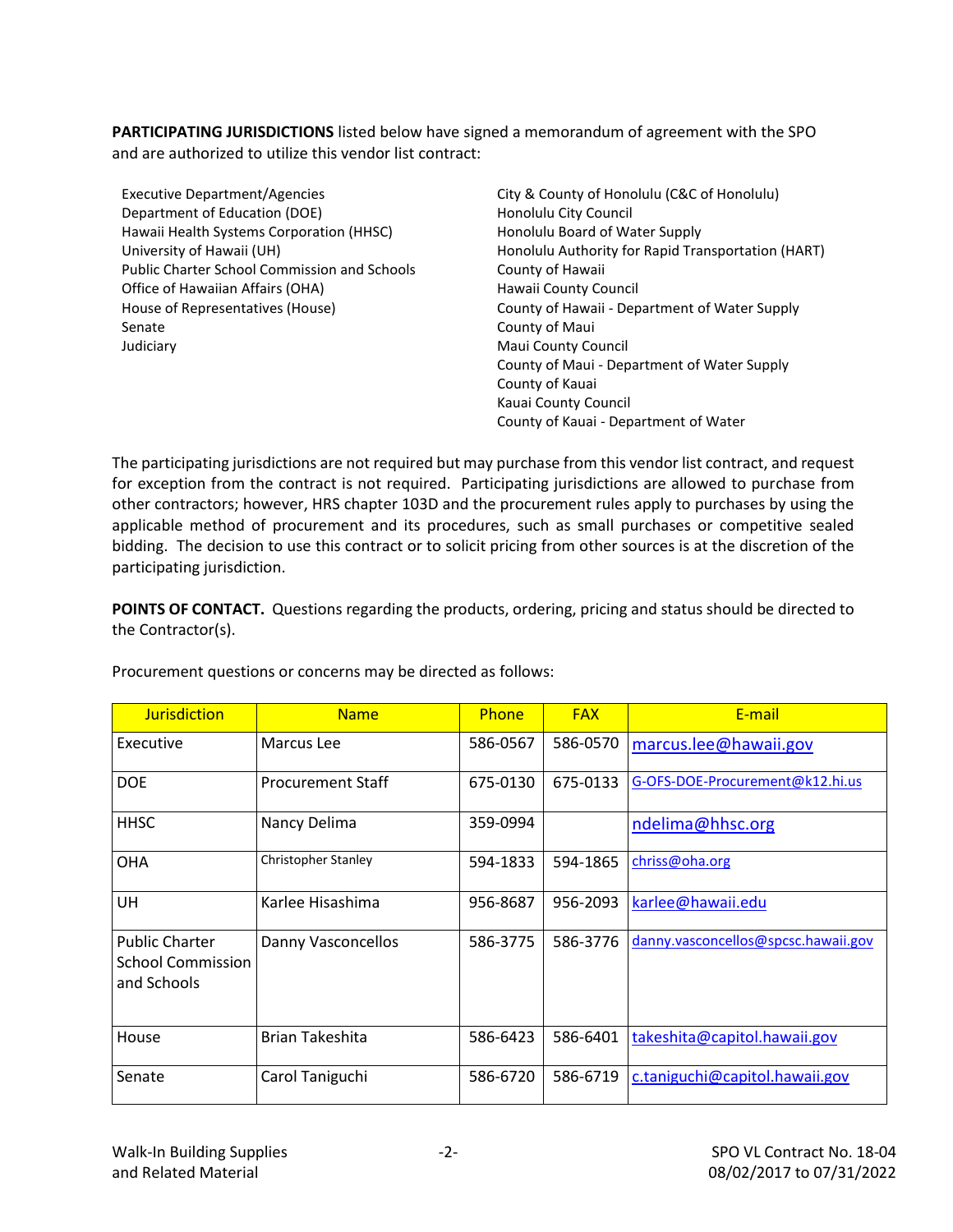**PARTICIPATING JURISDICTIONS** listed below have signed a memorandum of agreement with the SPO and are authorized to utilize this vendor list contract:

| <b>Executive Department/Agencies</b>                | City & County of Honolulu (C&C of Honolulu)        |
|-----------------------------------------------------|----------------------------------------------------|
| Department of Education (DOE)                       | Honolulu City Council                              |
| Hawaii Health Systems Corporation (HHSC)            | Honolulu Board of Water Supply                     |
| University of Hawaii (UH)                           | Honolulu Authority for Rapid Transportation (HART) |
| <b>Public Charter School Commission and Schools</b> | County of Hawaii                                   |
| Office of Hawaiian Affairs (OHA)                    | Hawaii County Council                              |
| House of Representatives (House)                    | County of Hawaii - Department of Water Supply      |
| Senate                                              | County of Maui                                     |
| Judiciary                                           | Maui County Council                                |
|                                                     | County of Maui - Department of Water Supply        |
|                                                     | County of Kauai                                    |
|                                                     | Kauai County Council                               |
|                                                     | County of Kauai - Department of Water              |

The participating jurisdictions are not required but may purchase from this vendor list contract, and request for exception from the contract is not required. Participating jurisdictions are allowed to purchase from other contractors; however, HRS chapter 103D and the procurement rules apply to purchases by using the applicable method of procurement and its procedures, such as small purchases or competitive sealed bidding. The decision to use this contract or to solicit pricing from other sources is at the discretion of the participating jurisdiction.

POINTS OF CONTACT. Questions regarding the products, ordering, pricing and status should be directed to the Contractor(s).

| <b>Jurisdiction</b>                                              | <b>Name</b>              | Phone    | <b>FAX</b> | E-mail                              |
|------------------------------------------------------------------|--------------------------|----------|------------|-------------------------------------|
| Executive                                                        | Marcus Lee               | 586-0567 | 586-0570   | marcus.lee@hawaii.gov               |
| <b>DOE</b>                                                       | <b>Procurement Staff</b> | 675-0130 | 675-0133   | G-OFS-DOE-Procurement@k12.hi.us     |
| HHSC                                                             | Nancy Delima             | 359-0994 |            | ndelima@hhsc.org                    |
| <b>OHA</b>                                                       | Christopher Stanley      | 594-1833 | 594-1865   | chriss@oha.org                      |
| UH                                                               | Karlee Hisashima         | 956-8687 | 956-2093   | karlee@hawaii.edu                   |
| <b>Public Charter</b><br><b>School Commission</b><br>and Schools | Danny Vasconcellos       | 586-3775 | 586-3776   | danny.vasconcellos@spcsc.hawaii.gov |
| House                                                            | Brian Takeshita          | 586-6423 | 586-6401   | takeshita@capitol.hawaii.gov        |
| Senate                                                           | Carol Taniguchi          | 586-6720 | 586-6719   | c.taniguchi@capitol.hawaii.gov      |

Procurement questions or concerns may be directed as follows: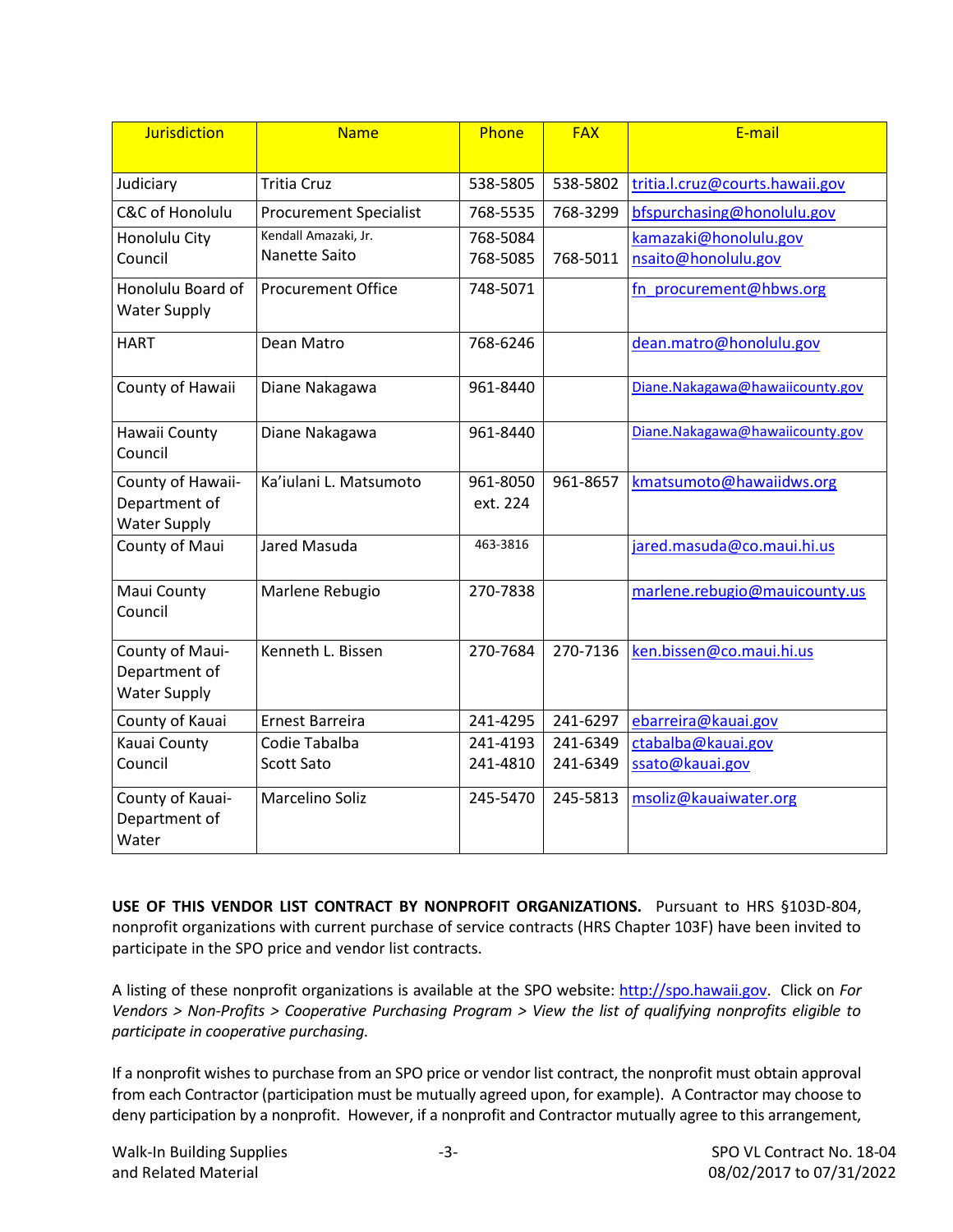| <b>Jurisdiction</b>                                     | <b>Name</b>                   | Phone    | <b>FAX</b> | E-mail                          |
|---------------------------------------------------------|-------------------------------|----------|------------|---------------------------------|
| Judiciary                                               | <b>Tritia Cruz</b>            | 538-5805 | 538-5802   | tritia.l.cruz@courts.hawaii.gov |
| C&C of Honolulu                                         | <b>Procurement Specialist</b> | 768-5535 | 768-3299   | bfspurchasing@honolulu.gov      |
| Honolulu City                                           | Kendall Amazaki, Jr.          | 768-5084 |            | kamazaki@honolulu.gov           |
| Council                                                 | Nanette Saito                 | 768-5085 | 768-5011   | nsaito@honolulu.gov             |
| Honolulu Board of<br><b>Water Supply</b>                | <b>Procurement Office</b>     | 748-5071 |            | fn procurement@hbws.org         |
| <b>HART</b>                                             | Dean Matro                    | 768-6246 |            | dean.matro@honolulu.gov         |
| County of Hawaii                                        | Diane Nakagawa                | 961-8440 |            | Diane.Nakagawa@hawaiicounty.gov |
| Hawaii County<br>Council                                | Diane Nakagawa                | 961-8440 |            | Diane.Nakagawa@hawaiicounty.gov |
| County of Hawaii-                                       | Ka'iulani L. Matsumoto        | 961-8050 | 961-8657   | kmatsumoto@hawaiidws.org        |
| Department of<br><b>Water Supply</b>                    |                               | ext. 224 |            |                                 |
| County of Maui                                          | Jared Masuda                  | 463-3816 |            | jared.masuda@co.maui.hi.us      |
| Maui County<br>Council                                  | Marlene Rebugio               | 270-7838 |            | marlene.rebugio@mauicounty.us   |
| County of Maui-<br>Department of<br><b>Water Supply</b> | Kenneth L. Bissen             | 270-7684 | 270-7136   | ken.bissen@co.maui.hi.us        |
| County of Kauai                                         | Ernest Barreira               | 241-4295 | 241-6297   | ebarreira@kauai.gov             |
| Kauai County                                            | Codie Tabalba                 | 241-4193 | 241-6349   | ctabalba@kauai.gov              |
| Council                                                 | <b>Scott Sato</b>             | 241-4810 | 241-6349   | ssato@kauai.gov                 |
| County of Kauai-<br>Department of<br>Water              | Marcelino Soliz               | 245-5470 | 245-5813   | msoliz@kauaiwater.org           |

**USE OF THIS VENDOR LIST CONTRACT BY NONPROFIT ORGANIZATIONS.** Pursuant to HRS §103D-804, nonprofit organizations with current purchase of service contracts (HRS Chapter 103F) have been invited to participate in the SPO price and vendor list contracts.

A listing of these nonprofit organizations is available at the SPO website: [http://spo.hawaii.gov.](http://spo.hawaii.gov/) Click on *For Vendors > Non-Profits > Cooperative Purchasing Program > View the list of qualifying nonprofits eligible to participate in cooperative purchasing.*

If a nonprofit wishes to purchase from an SPO price or vendor list contract, the nonprofit must obtain approval from each Contractor (participation must be mutually agreed upon, for example). A Contractor may choose to deny participation by a nonprofit. However, if a nonprofit and Contractor mutually agree to this arrangement,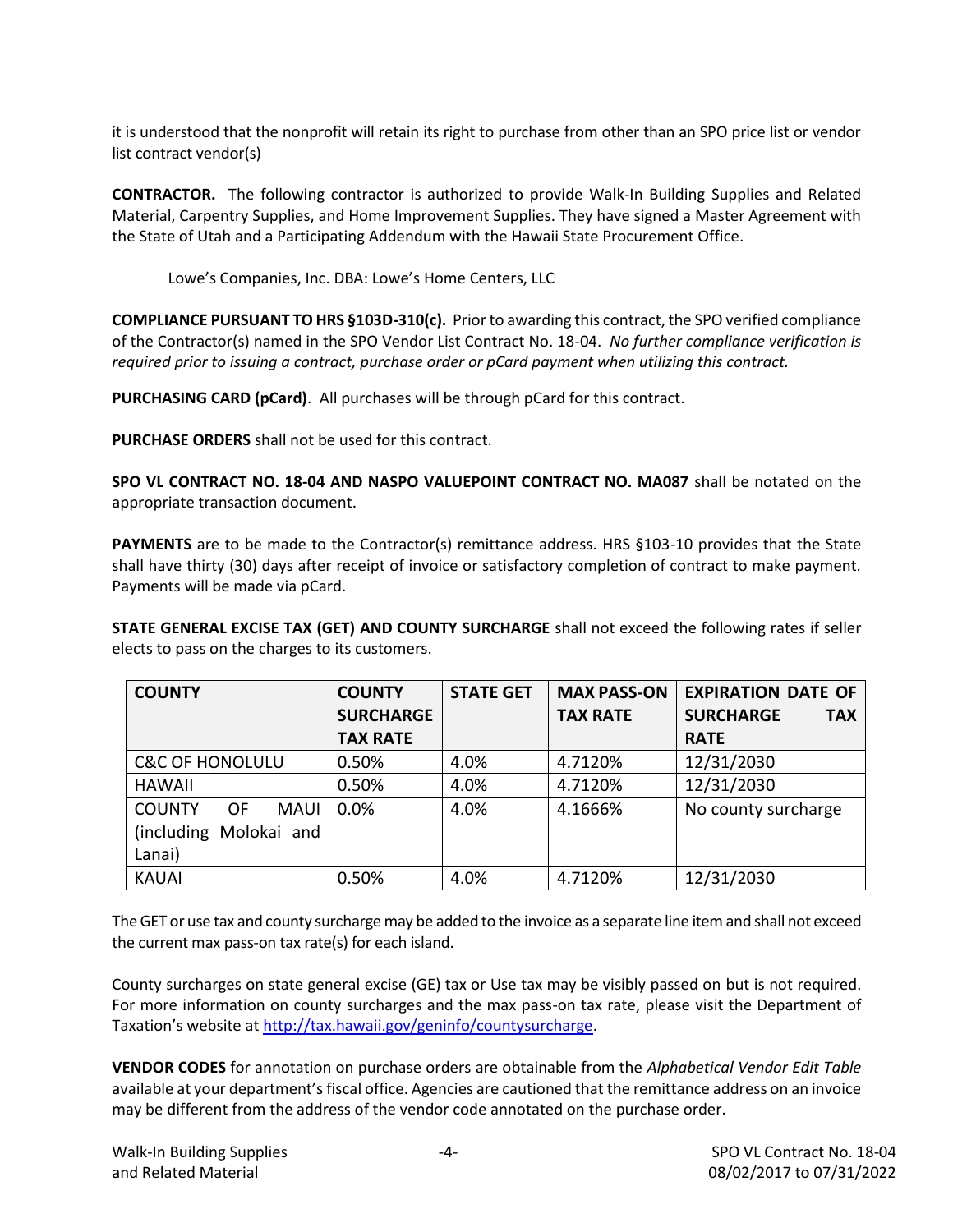it is understood that the nonprofit will retain its right to purchase from other than an SPO price list or vendor list contract vendor(s)

**CONTRACTOR.** The following contractor is authorized to provide Walk-In Building Supplies and Related Material, Carpentry Supplies, and Home Improvement Supplies. They have signed a Master Agreement with the State of Utah and a Participating Addendum with the Hawaii State Procurement Office.

Lowe's Companies, Inc. DBA: Lowe's Home Centers, LLC

**COMPLIANCE PURSUANT TO HRS §103D-310(c).** Prior to awarding this contract, the SPO verified compliance of the Contractor(s) named in the SPO Vendor List Contract No. 18-04. *No further compliance verification is required prior to issuing a contract, purchase order or pCard payment when utilizing this contract.*

**PURCHASING CARD (pCard)**. All purchases will be through pCard for this contract.

**PURCHASE ORDERS** shall not be used for this contract.

**SPO VL CONTRACT NO. 18-04 AND NASPO VALUEPOINT CONTRACT NO. MA087** shall be notated on the appropriate transaction document.

**PAYMENTS** are to be made to the Contractor(s) remittance address. HRS §103-10 provides that the State shall have thirty (30) days after receipt of invoice or satisfactory completion of contract to make payment. Payments will be made via pCard.

**STATE GENERAL EXCISE TAX (GET) AND COUNTY SURCHARGE** shall not exceed the following rates if seller elects to pass on the charges to its customers.

| <b>COUNTY</b>                      | <b>COUNTY</b>    | <b>STATE GET</b> | <b>MAX PASS-ON</b> | <b>EXPIRATION DATE OF</b>      |
|------------------------------------|------------------|------------------|--------------------|--------------------------------|
|                                    | <b>SURCHARGE</b> |                  | <b>TAX RATE</b>    | <b>SURCHARGE</b><br><b>TAX</b> |
|                                    | <b>TAX RATE</b>  |                  |                    | <b>RATE</b>                    |
| <b>C&amp;C OF HONOLULU</b>         | 0.50%            | 4.0%             | 4.7120%            | 12/31/2030                     |
| <b>HAWAII</b>                      | 0.50%            | 4.0%             | 4.7120%            | 12/31/2030                     |
| <b>COUNTY</b><br><b>OF</b><br>MAUI | 0.0%             | 4.0%             | 4.1666%            | No county surcharge            |
| (including Molokai and             |                  |                  |                    |                                |
| Lanai)                             |                  |                  |                    |                                |
| <b>KAUAI</b>                       | 0.50%            | 4.0%             | 4.7120%            | 12/31/2030                     |

The GET or use tax and county surcharge may be added to the invoice as a separate line item and shall not exceed the current max pass-on tax rate(s) for each island.

County surcharges on state general excise (GE) tax or Use tax may be visibly passed on but is not required. For more information on county surcharges and the max pass-on tax rate, please visit the Department of Taxation's website at [http://tax.hawaii.gov/geninfo/countysurcharge.](http://tax.hawaii.gov/geninfo/countysurcharge)

**VENDOR CODES** for annotation on purchase orders are obtainable from the *Alphabetical Vendor Edit Table* available at your department's fiscal office. Agencies are cautioned that the remittance address on an invoice may be different from the address of the vendor code annotated on the purchase order.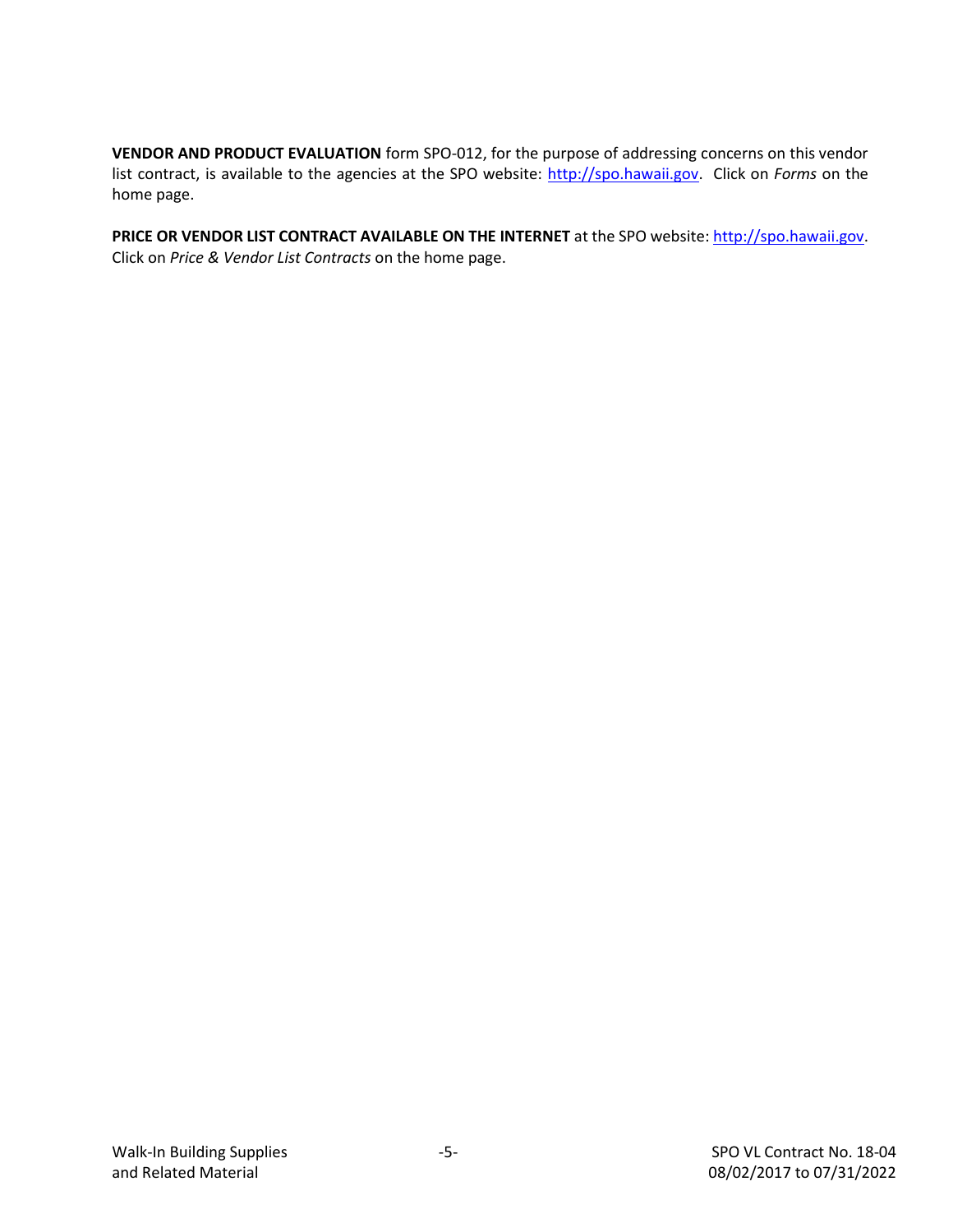**VENDOR AND PRODUCT EVALUATION** form SPO-012, for the purpose of addressing concerns on this vendor list contract, is available to the agencies at the SPO website: [http://spo.hawaii.gov.](http://spo.hawaii.gov/) Click on *Forms* on the home page.

PRICE OR VENDOR LIST CONTRACT AVAILABLE ON THE INTERNET at the SPO website: [http://spo.hawaii.gov.](http://spo.hawaii.gov/) Click on *Price & Vendor List Contracts* on the home page.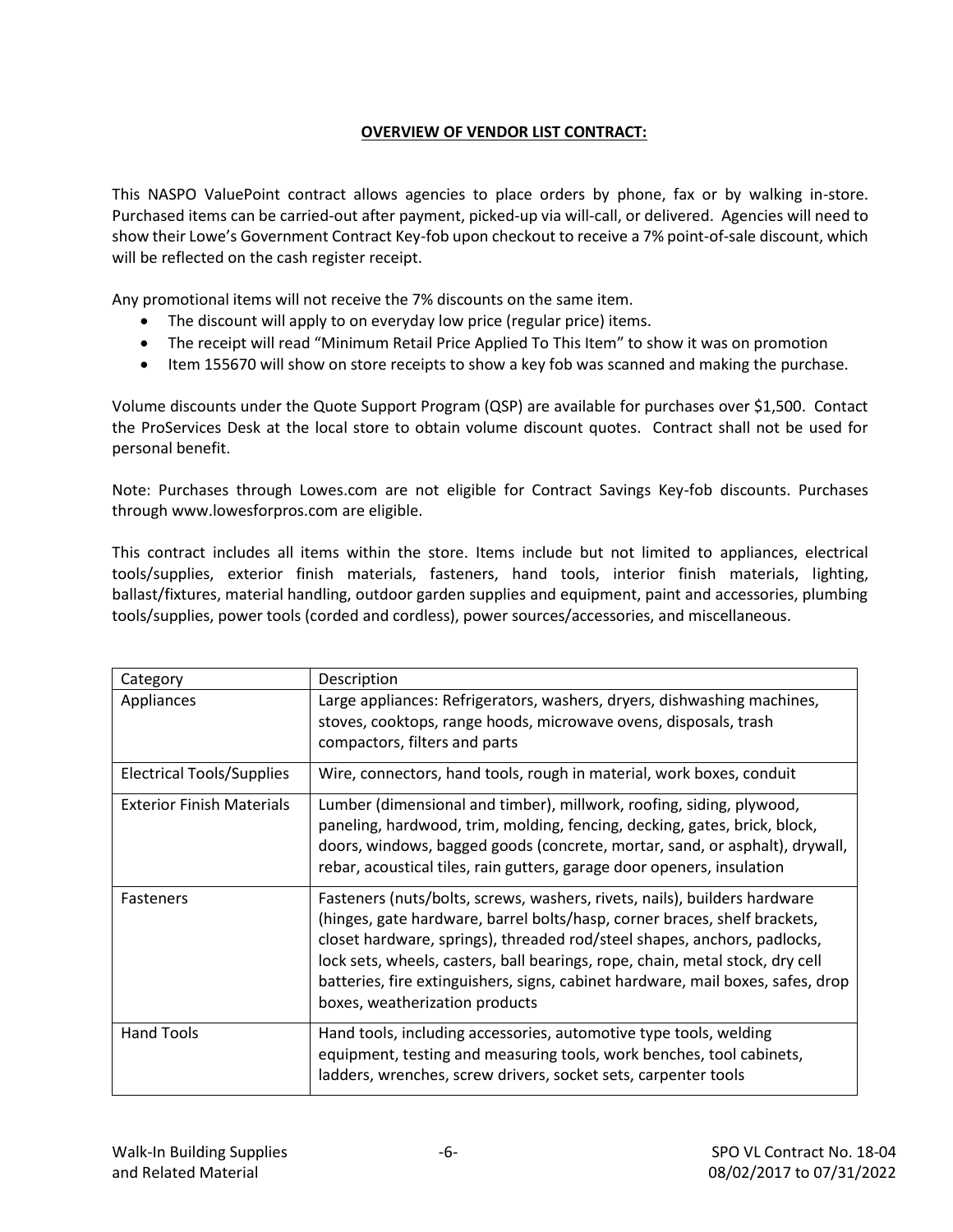#### **OVERVIEW OF VENDOR LIST CONTRACT:**

This NASPO ValuePoint contract allows agencies to place orders by phone, fax or by walking in-store. Purchased items can be carried-out after payment, picked-up via will-call, or delivered. Agencies will need to show their Lowe's Government Contract Key-fob upon checkout to receive a 7% point-of-sale discount, which will be reflected on the cash register receipt.

Any promotional items will not receive the 7% discounts on the same item.

- The discount will apply to on everyday low price (regular price) items.
- The receipt will read "Minimum Retail Price Applied To This Item" to show it was on promotion
- Item 155670 will show on store receipts to show a key fob was scanned and making the purchase.

Volume discounts under the Quote Support Program (QSP) are available for purchases over \$1,500. Contact the ProServices Desk at the local store to obtain volume discount quotes. Contract shall not be used for personal benefit.

Note: Purchases through Lowes.com are not eligible for Contract Savings Key-fob discounts. Purchases through www.lowesforpros.com are eligible.

This contract includes all items within the store. Items include but not limited to appliances, electrical tools/supplies, exterior finish materials, fasteners, hand tools, interior finish materials, lighting, ballast/fixtures, material handling, outdoor garden supplies and equipment, paint and accessories, plumbing tools/supplies, power tools (corded and cordless), power sources/accessories, and miscellaneous.

| Category                         | Description                                                                                                                                                                                                                                                                                                                                                                                                                              |
|----------------------------------|------------------------------------------------------------------------------------------------------------------------------------------------------------------------------------------------------------------------------------------------------------------------------------------------------------------------------------------------------------------------------------------------------------------------------------------|
| Appliances                       | Large appliances: Refrigerators, washers, dryers, dishwashing machines,<br>stoves, cooktops, range hoods, microwave ovens, disposals, trash<br>compactors, filters and parts                                                                                                                                                                                                                                                             |
| Electrical Tools/Supplies        | Wire, connectors, hand tools, rough in material, work boxes, conduit                                                                                                                                                                                                                                                                                                                                                                     |
| <b>Exterior Finish Materials</b> | Lumber (dimensional and timber), millwork, roofing, siding, plywood,<br>paneling, hardwood, trim, molding, fencing, decking, gates, brick, block,<br>doors, windows, bagged goods (concrete, mortar, sand, or asphalt), drywall,<br>rebar, acoustical tiles, rain gutters, garage door openers, insulation                                                                                                                               |
| <b>Fasteners</b>                 | Fasteners (nuts/bolts, screws, washers, rivets, nails), builders hardware<br>(hinges, gate hardware, barrel bolts/hasp, corner braces, shelf brackets,<br>closet hardware, springs), threaded rod/steel shapes, anchors, padlocks,<br>lock sets, wheels, casters, ball bearings, rope, chain, metal stock, dry cell<br>batteries, fire extinguishers, signs, cabinet hardware, mail boxes, safes, drop<br>boxes, weatherization products |
| <b>Hand Tools</b>                | Hand tools, including accessories, automotive type tools, welding<br>equipment, testing and measuring tools, work benches, tool cabinets,<br>ladders, wrenches, screw drivers, socket sets, carpenter tools                                                                                                                                                                                                                              |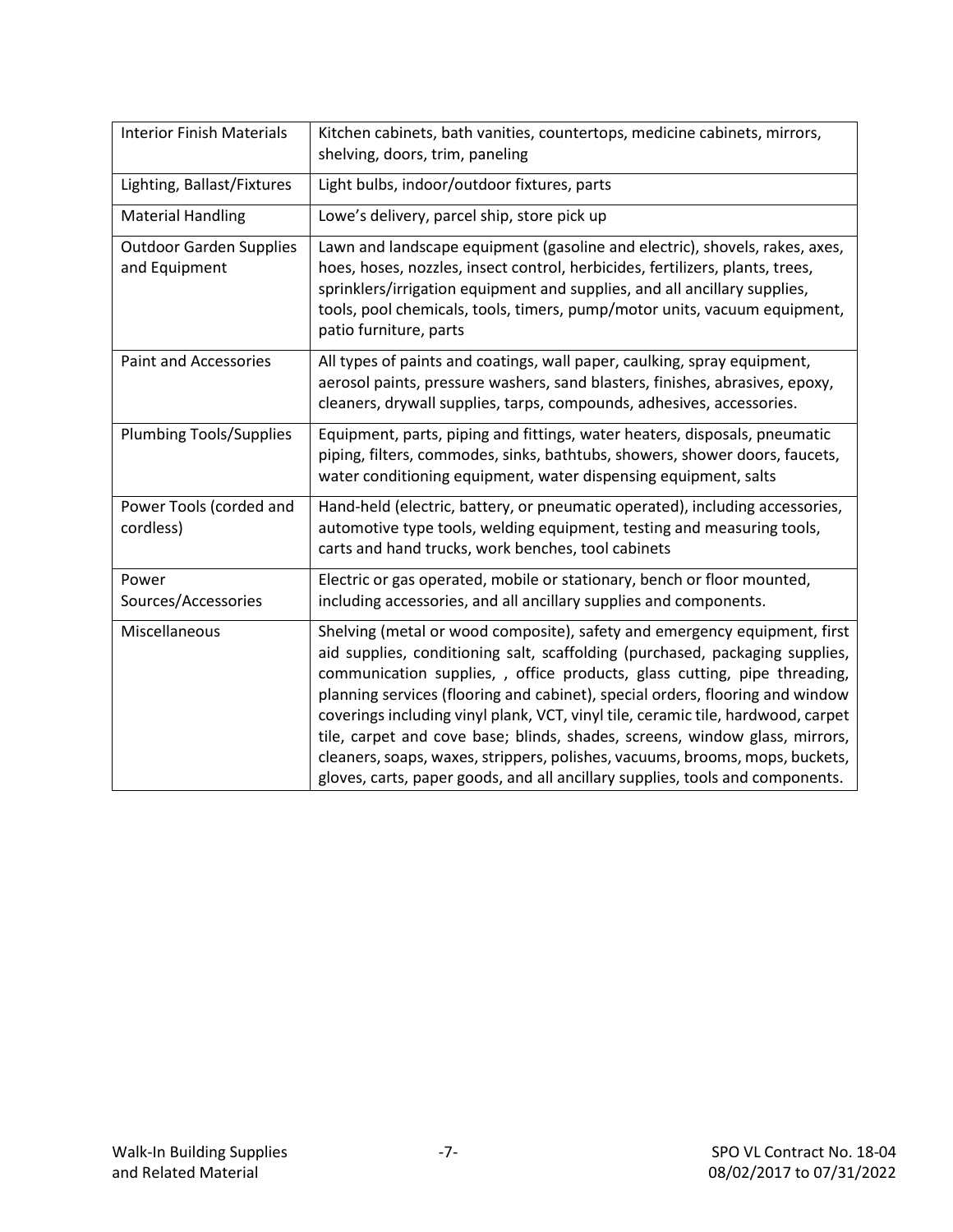| <b>Interior Finish Materials</b>                | Kitchen cabinets, bath vanities, countertops, medicine cabinets, mirrors,<br>shelving, doors, trim, paneling                                                                                                                                                                                                                                                                                                                                                                                                                                                                                                                                                |
|-------------------------------------------------|-------------------------------------------------------------------------------------------------------------------------------------------------------------------------------------------------------------------------------------------------------------------------------------------------------------------------------------------------------------------------------------------------------------------------------------------------------------------------------------------------------------------------------------------------------------------------------------------------------------------------------------------------------------|
| Lighting, Ballast/Fixtures                      | Light bulbs, indoor/outdoor fixtures, parts                                                                                                                                                                                                                                                                                                                                                                                                                                                                                                                                                                                                                 |
| <b>Material Handling</b>                        | Lowe's delivery, parcel ship, store pick up                                                                                                                                                                                                                                                                                                                                                                                                                                                                                                                                                                                                                 |
| <b>Outdoor Garden Supplies</b><br>and Equipment | Lawn and landscape equipment (gasoline and electric), shovels, rakes, axes,<br>hoes, hoses, nozzles, insect control, herbicides, fertilizers, plants, trees,<br>sprinklers/irrigation equipment and supplies, and all ancillary supplies,<br>tools, pool chemicals, tools, timers, pump/motor units, vacuum equipment,<br>patio furniture, parts                                                                                                                                                                                                                                                                                                            |
| <b>Paint and Accessories</b>                    | All types of paints and coatings, wall paper, caulking, spray equipment,<br>aerosol paints, pressure washers, sand blasters, finishes, abrasives, epoxy,<br>cleaners, drywall supplies, tarps, compounds, adhesives, accessories.                                                                                                                                                                                                                                                                                                                                                                                                                           |
| <b>Plumbing Tools/Supplies</b>                  | Equipment, parts, piping and fittings, water heaters, disposals, pneumatic<br>piping, filters, commodes, sinks, bathtubs, showers, shower doors, faucets,<br>water conditioning equipment, water dispensing equipment, salts                                                                                                                                                                                                                                                                                                                                                                                                                                |
| Power Tools (corded and<br>cordless)            | Hand-held (electric, battery, or pneumatic operated), including accessories,<br>automotive type tools, welding equipment, testing and measuring tools,<br>carts and hand trucks, work benches, tool cabinets                                                                                                                                                                                                                                                                                                                                                                                                                                                |
| Power<br>Sources/Accessories                    | Electric or gas operated, mobile or stationary, bench or floor mounted,<br>including accessories, and all ancillary supplies and components.                                                                                                                                                                                                                                                                                                                                                                                                                                                                                                                |
| Miscellaneous                                   | Shelving (metal or wood composite), safety and emergency equipment, first<br>aid supplies, conditioning salt, scaffolding (purchased, packaging supplies,<br>communication supplies, , office products, glass cutting, pipe threading,<br>planning services (flooring and cabinet), special orders, flooring and window<br>coverings including vinyl plank, VCT, vinyl tile, ceramic tile, hardwood, carpet<br>tile, carpet and cove base; blinds, shades, screens, window glass, mirrors,<br>cleaners, soaps, waxes, strippers, polishes, vacuums, brooms, mops, buckets,<br>gloves, carts, paper goods, and all ancillary supplies, tools and components. |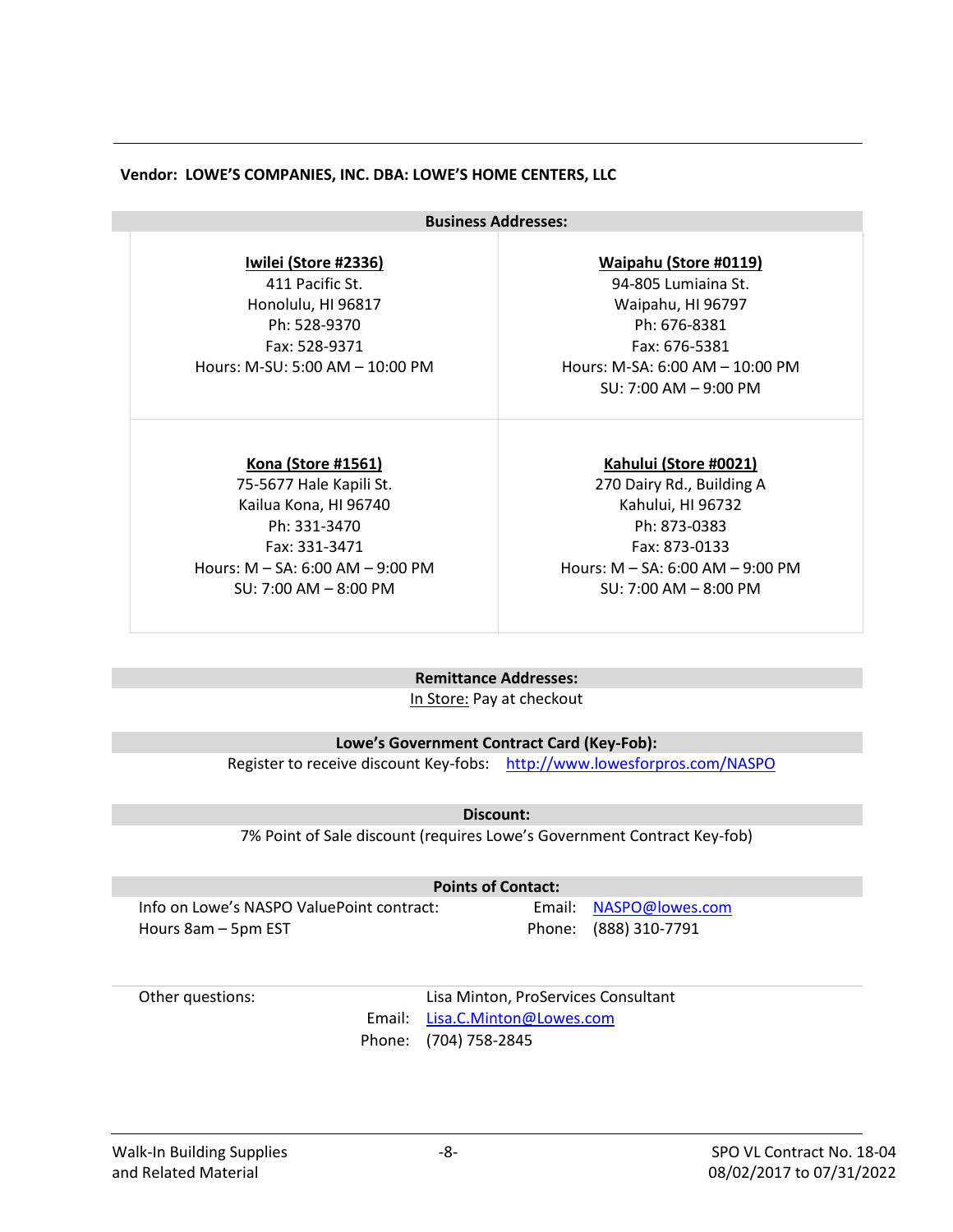#### **Vendor: LOWE'S COMPANIES, INC. DBA: LOWE'S HOME CENTERS, LLC**

**Business Addresses:**

**Iwilei (Store #2336)**

411 Pacific St. Honolulu, HI 96817 Ph: 528-9370 Fax: 528-9371 Hours: M-SU: 5:00 AM – 10:00 PM

**Kona (Store #1561)**

75-5677 Hale Kapili St. Kailua Kona, HI 96740 Ph: 331-3470 Fax: 331-3471 Hours: M – SA: 6:00 AM – 9:00 PM SU: 7:00 AM – 8:00 PM

**Waipahu (Store #0119)**

94-805 Lumiaina St. Waipahu, HI 96797 Ph: 676-8381 Fax: 676-5381 Hours: M-SA: 6:00 AM – 10:00 PM SU: 7:00 AM – 9:00 PM

**Kahului (Store #0021)** 270 Dairy Rd., Building A Kahului, HI 96732 Ph: 873-0383 Fax: 873-0133 Hours: M – SA: 6:00 AM – 9:00 PM SU: 7:00 AM – 8:00 PM

#### **Remittance Addresses:**

In Store: Pay at checkout

**Lowe's Government Contract Card (Key-Fob):**

Register to receive discount Key-fobs: <http://www.lowesforpros.com/NASPO>

**Discount:**

7% Point of Sale discount (requires Lowe's Government Contract Key-fob)

**Points of Contact:**

Info on Lowe's NASPO ValuePoint contract: Email: [NASPO@lowes.com](mailto:NASPO@lowes.com) Hours 8am – 5pm EST Phone: (888) 310-7791

Other questions: Lisa Minton, ProServices Consultant Email: [Lisa.C.Minton@Lowes.com](mailto:Lisa.C.Minton@Lowes.com) Phone: (704) 758-2845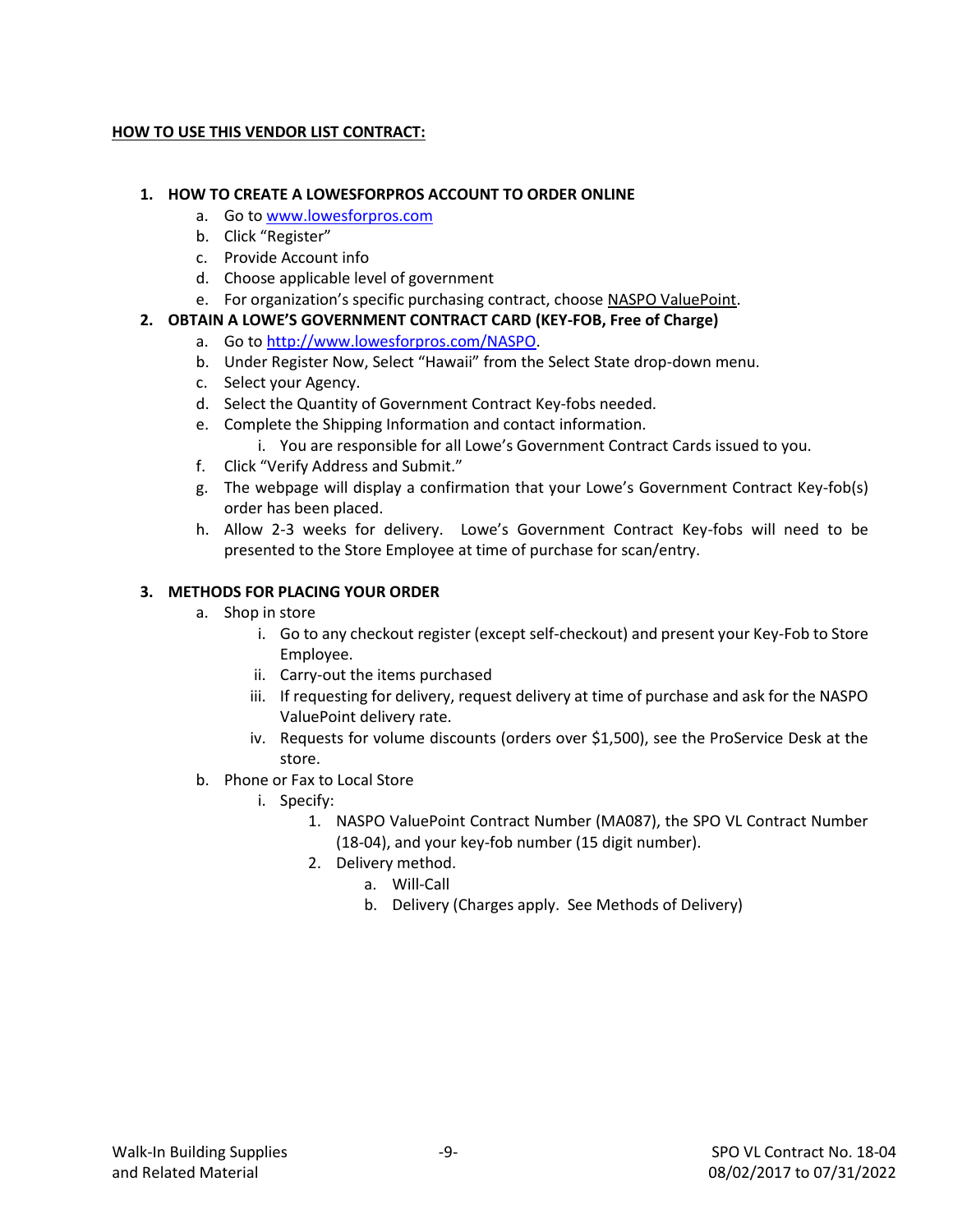#### **HOW TO USE THIS VENDOR LIST CONTRACT:**

#### **1. HOW TO CREATE A LOWESFORPROS ACCOUNT TO ORDER ONLINE**

- a. Go to [www.lowesforpros.com](http://www.lowesforpros.com/)
- b. Click "Register"
- c. Provide Account info
- d. Choose applicable level of government
- e. For organization's specific purchasing contract, choose NASPO ValuePoint.

#### **2. OBTAIN A LOWE'S GOVERNMENT CONTRACT CARD (KEY-FOB, Free of Charge)**

- a. Go to [http://www.lowesforpros.com/NASPO.](http://www.lowesforpros.com/NASPO)
- b. Under Register Now, Select "Hawaii" from the Select State drop-down menu.
- c. Select your Agency.
- d. Select the Quantity of Government Contract Key-fobs needed.
- e. Complete the Shipping Information and contact information.
	- i. You are responsible for all Lowe's Government Contract Cards issued to you.
- f. Click "Verify Address and Submit."
- g. The webpage will display a confirmation that your Lowe's Government Contract Key-fob(s) order has been placed.
- h. Allow 2-3 weeks for delivery. Lowe's Government Contract Key-fobs will need to be presented to the Store Employee at time of purchase for scan/entry.

#### **3. METHODS FOR PLACING YOUR ORDER**

- a. Shop in store
	- i. Go to any checkout register (except self-checkout) and present your Key-Fob to Store Employee.
	- ii. Carry-out the items purchased
	- iii. If requesting for delivery, request delivery at time of purchase and ask for the NASPO ValuePoint delivery rate.
	- iv. Requests for volume discounts (orders over \$1,500), see the ProService Desk at the store.
- b. Phone or Fax to Local Store
	- i. Specify:
		- 1. NASPO ValuePoint Contract Number (MA087), the SPO VL Contract Number (18-04), and your key-fob number (15 digit number).
		- 2. Delivery method.
			- a. Will-Call
			- b. Delivery (Charges apply. See Methods of Delivery)